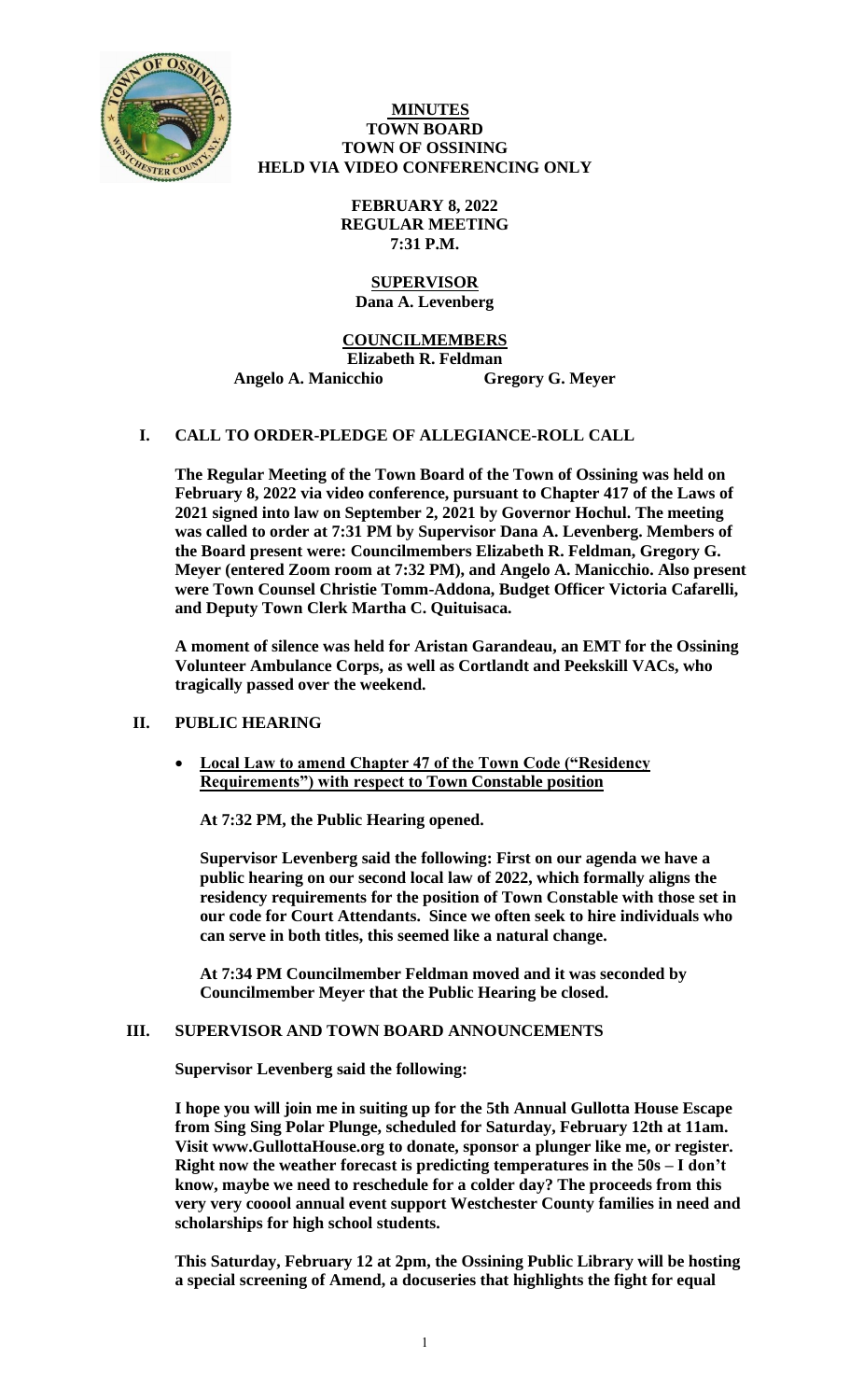

## **MINUTES TOWN BOARD TOWN OF OSSINING HELD VIA VIDEO CONFERENCING ONLY**

**FEBRUARY 8, 2022 REGULAR MEETING 7:31 P.M.**

#### **SUPERVISOR Dana A. Levenberg**

# **COUNCILMEMBERS**

**Elizabeth R. Feldman** 

**Angelo A. Manicchio Gregory G. Meyer**

# **I. CALL TO ORDER-PLEDGE OF ALLEGIANCE-ROLL CALL**

**The Regular Meeting of the Town Board of the Town of Ossining was held on February 8, 2022 via video conference, pursuant to Chapter 417 of the Laws of 2021 signed into law on September 2, 2021 by Governor Hochul. The meeting was called to order at 7:31 PM by Supervisor Dana A. Levenberg. Members of the Board present were: Councilmembers Elizabeth R. Feldman, Gregory G. Meyer (entered Zoom room at 7:32 PM), and Angelo A. Manicchio. Also present were Town Counsel Christie Tomm-Addona, Budget Officer Victoria Cafarelli, and Deputy Town Clerk Martha C. Quituisaca.** 

**A moment of silence was held for Aristan Garandeau, an EMT for the Ossining Volunteer Ambulance Corps, as well as Cortlandt and Peekskill VACs, who tragically passed over the weekend.** 

# **II. PUBLIC HEARING**

• **Local Law to amend Chapter 47 of the Town Code ("Residency Requirements") with respect to Town Constable position**

**At 7:32 PM, the Public Hearing opened.** 

**Supervisor Levenberg said the following: First on our agenda we have a public hearing on our second local law of 2022, which formally aligns the residency requirements for the position of Town Constable with those set in our code for Court Attendants. Since we often seek to hire individuals who can serve in both titles, this seemed like a natural change.** 

**At 7:34 PM Councilmember Feldman moved and it was seconded by Councilmember Meyer that the Public Hearing be closed.** 

# **III. SUPERVISOR AND TOWN BOARD ANNOUNCEMENTS**

**Supervisor Levenberg said the following:** 

**I hope you will join me in suiting up for the 5th Annual Gullotta House Escape from Sing Sing Polar Plunge, scheduled for Saturday, February 12th at 11am. Visit www.GullottaHouse.org to donate, sponsor a plunger like me, or register. Right now the weather forecast is predicting temperatures in the 50s – I don't know, maybe we need to reschedule for a colder day? The proceeds from this very very cooool annual event support Westchester County families in need and scholarships for high school students.** 

**This Saturday, February 12 at 2pm, the Ossining Public Library will be hosting a special screening of Amend, a docuseries that highlights the fight for equal**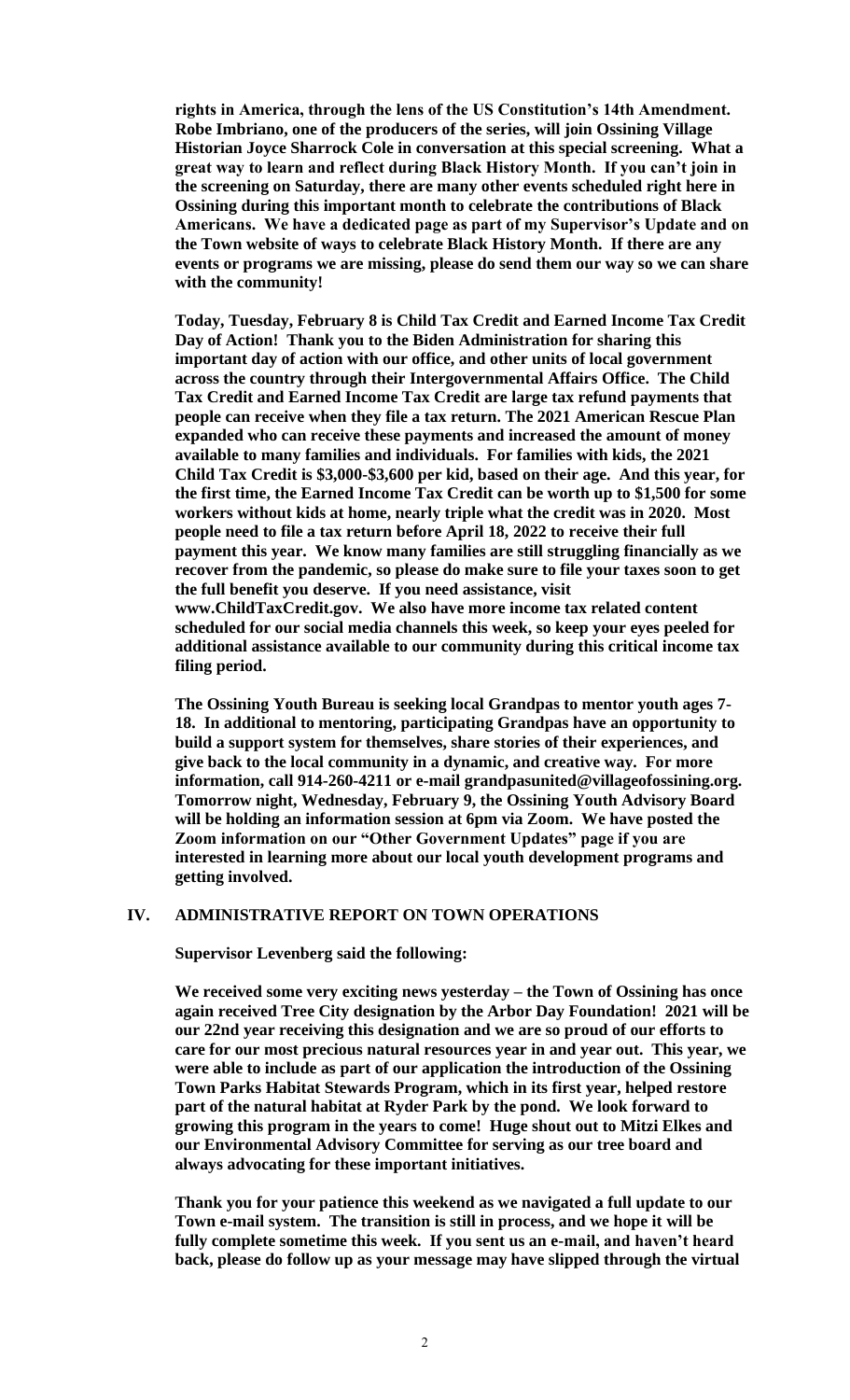**rights in America, through the lens of the US Constitution's 14th Amendment. Robe Imbriano, one of the producers of the series, will join Ossining Village Historian Joyce Sharrock Cole in conversation at this special screening. What a great way to learn and reflect during Black History Month. If you can't join in the screening on Saturday, there are many other events scheduled right here in Ossining during this important month to celebrate the contributions of Black Americans. We have a dedicated page as part of my Supervisor's Update and on the Town website of ways to celebrate Black History Month. If there are any events or programs we are missing, please do send them our way so we can share with the community!** 

**Today, Tuesday, February 8 is Child Tax Credit and Earned Income Tax Credit Day of Action! Thank you to the Biden Administration for sharing this important day of action with our office, and other units of local government across the country through their Intergovernmental Affairs Office. The Child Tax Credit and Earned Income Tax Credit are large tax refund payments that people can receive when they file a tax return. The 2021 American Rescue Plan expanded who can receive these payments and increased the amount of money available to many families and individuals. For families with kids, the 2021 Child Tax Credit is \$3,000-\$3,600 per kid, based on their age. And this year, for the first time, the Earned Income Tax Credit can be worth up to \$1,500 for some workers without kids at home, nearly triple what the credit was in 2020. Most people need to file a tax return before April 18, 2022 to receive their full payment this year. We know many families are still struggling financially as we recover from the pandemic, so please do make sure to file your taxes soon to get the full benefit you deserve. If you need assistance, visit www.ChildTaxCredit.gov. We also have more income tax related content scheduled for our social media channels this week, so keep your eyes peeled for additional assistance available to our community during this critical income tax filing period.** 

**The Ossining Youth Bureau is seeking local Grandpas to mentor youth ages 7- 18. In additional to mentoring, participating Grandpas have an opportunity to build a support system for themselves, share stories of their experiences, and give back to the local community in a dynamic, and creative way. For more information, call 914-260-4211 or e-mail grandpasunited@villageofossining.org. Tomorrow night, Wednesday, February 9, the Ossining Youth Advisory Board will be holding an information session at 6pm via Zoom. We have posted the Zoom information on our "Other Government Updates" page if you are interested in learning more about our local youth development programs and getting involved.**

#### **IV. ADMINISTRATIVE REPORT ON TOWN OPERATIONS**

**Supervisor Levenberg said the following:**

**We received some very exciting news yesterday – the Town of Ossining has once again received Tree City designation by the Arbor Day Foundation! 2021 will be our 22nd year receiving this designation and we are so proud of our efforts to care for our most precious natural resources year in and year out. This year, we were able to include as part of our application the introduction of the Ossining Town Parks Habitat Stewards Program, which in its first year, helped restore part of the natural habitat at Ryder Park by the pond. We look forward to growing this program in the years to come! Huge shout out to Mitzi Elkes and our Environmental Advisory Committee for serving as our tree board and always advocating for these important initiatives.** 

**Thank you for your patience this weekend as we navigated a full update to our Town e-mail system. The transition is still in process, and we hope it will be fully complete sometime this week. If you sent us an e-mail, and haven't heard back, please do follow up as your message may have slipped through the virtual**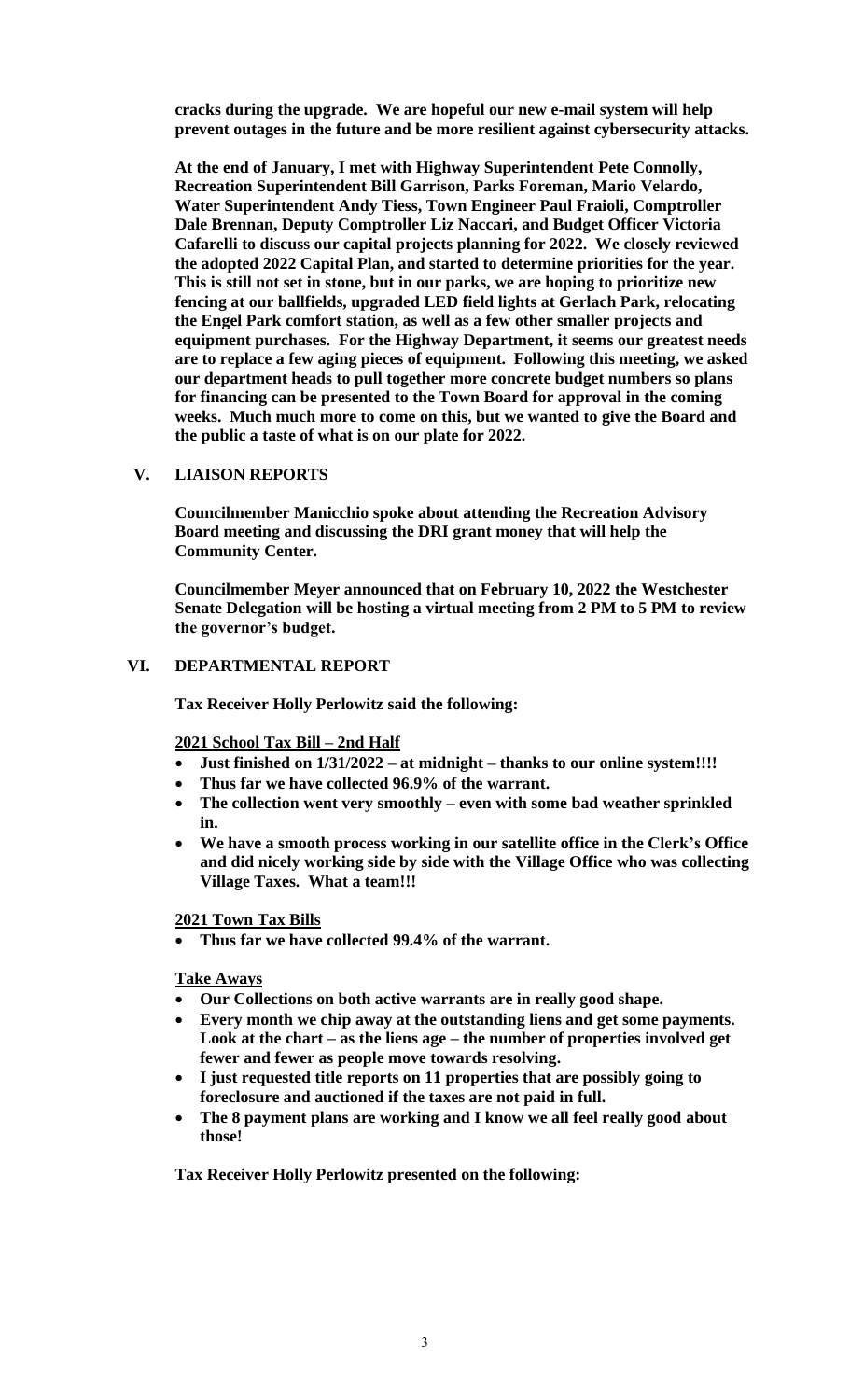**cracks during the upgrade. We are hopeful our new e-mail system will help prevent outages in the future and be more resilient against cybersecurity attacks.** 

**At the end of January, I met with Highway Superintendent Pete Connolly, Recreation Superintendent Bill Garrison, Parks Foreman, Mario Velardo, Water Superintendent Andy Tiess, Town Engineer Paul Fraioli, Comptroller Dale Brennan, Deputy Comptroller Liz Naccari, and Budget Officer Victoria Cafarelli to discuss our capital projects planning for 2022. We closely reviewed the adopted 2022 Capital Plan, and started to determine priorities for the year. This is still not set in stone, but in our parks, we are hoping to prioritize new fencing at our ballfields, upgraded LED field lights at Gerlach Park, relocating the Engel Park comfort station, as well as a few other smaller projects and equipment purchases. For the Highway Department, it seems our greatest needs are to replace a few aging pieces of equipment. Following this meeting, we asked our department heads to pull together more concrete budget numbers so plans for financing can be presented to the Town Board for approval in the coming weeks. Much much more to come on this, but we wanted to give the Board and the public a taste of what is on our plate for 2022.**

# **V. LIAISON REPORTS**

**Councilmember Manicchio spoke about attending the Recreation Advisory Board meeting and discussing the DRI grant money that will help the Community Center.** 

**Councilmember Meyer announced that on February 10, 2022 the Westchester Senate Delegation will be hosting a virtual meeting from 2 PM to 5 PM to review the governor's budget.**

# **VI. DEPARTMENTAL REPORT**

**Tax Receiver Holly Perlowitz said the following:**

**2021 School Tax Bill – 2nd Half**

- **Just finished on 1/31/2022 – at midnight – thanks to our online system!!!!**
- **Thus far we have collected 96.9% of the warrant.**
- **The collection went very smoothly – even with some bad weather sprinkled in.**
- **We have a smooth process working in our satellite office in the Clerk's Office and did nicely working side by side with the Village Office who was collecting Village Taxes. What a team!!!**

**2021 Town Tax Bills** 

• **Thus far we have collected 99.4% of the warrant.**

**Take Aways**

- **Our Collections on both active warrants are in really good shape.**
- **Every month we chip away at the outstanding liens and get some payments. Look at the chart – as the liens age – the number of properties involved get fewer and fewer as people move towards resolving.**
- **I just requested title reports on 11 properties that are possibly going to foreclosure and auctioned if the taxes are not paid in full.**
- **The 8 payment plans are working and I know we all feel really good about those!**

**Tax Receiver Holly Perlowitz presented on the following:**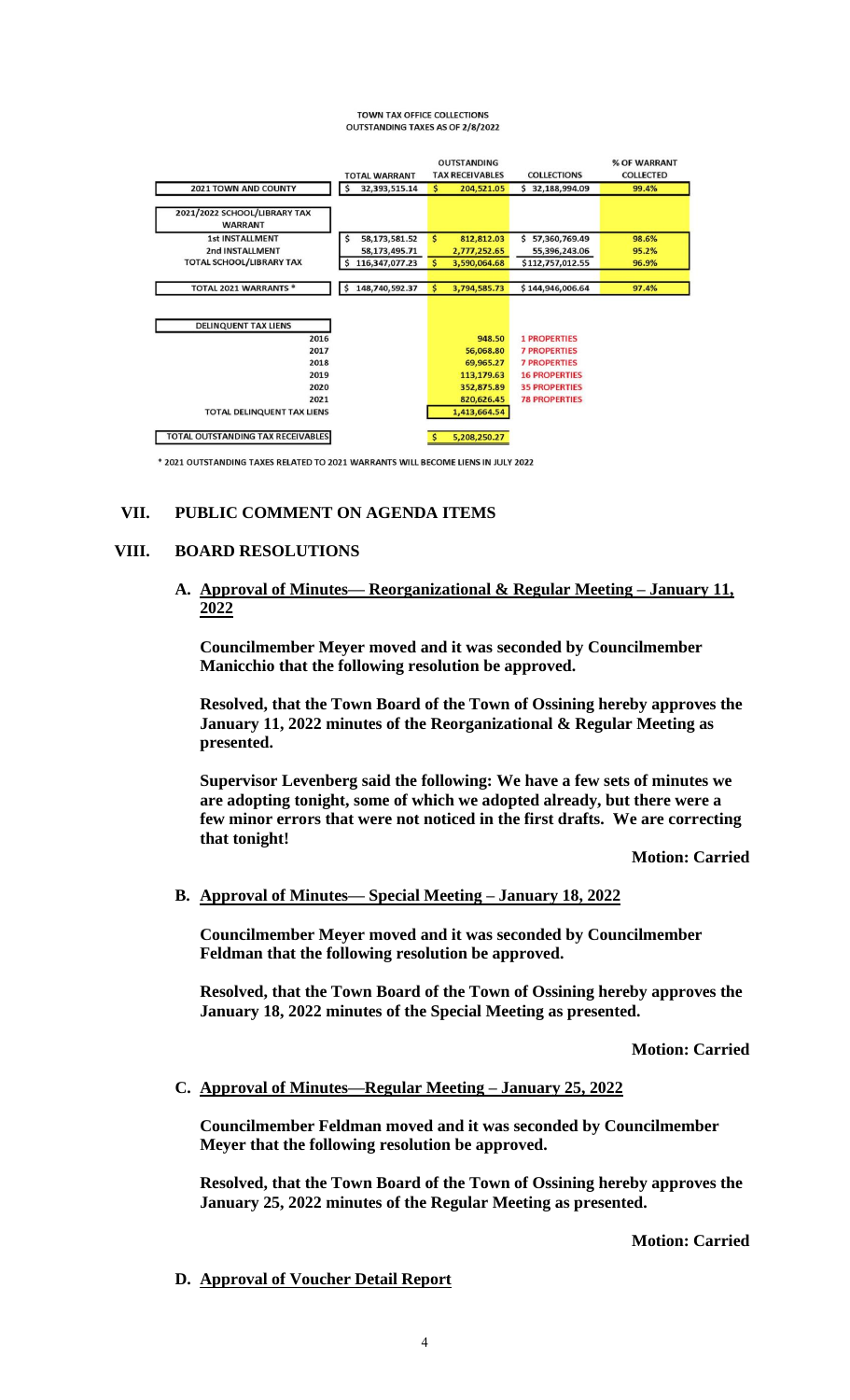#### **TOWN TAX OFFICE COLLECTIONS OUTSTANDING TAXES AS OF 2/8/2022**

|                                                                                                                  | <b>TOTAL WARRANT</b> | <b>OUTSTANDING</b><br><b>TAX RECEIVABLES</b>                                               | <b>COLLECTIONS</b>                                                                                                                        | % OF WARRANT<br><b>COLLECTED</b> |
|------------------------------------------------------------------------------------------------------------------|----------------------|--------------------------------------------------------------------------------------------|-------------------------------------------------------------------------------------------------------------------------------------------|----------------------------------|
| <b>2021 TOWN AND COUNTY</b>                                                                                      | 32,393,515.14<br>\$  | $\mathsf{S}$<br>204,521.05                                                                 | 32,188,994.09<br>Ś                                                                                                                        | 99.4%                            |
| 2021/2022 SCHOOL/LIBRARY TAX<br><b>WARRANT</b>                                                                   |                      |                                                                                            |                                                                                                                                           |                                  |
| <b>1st INSTALLMENT</b>                                                                                           | \$<br>58,173,581.52  | \$<br>812,812.03                                                                           | 57,360,769.49<br>Ś.                                                                                                                       | 98.6%                            |
| 2nd INSTALLMENT                                                                                                  | 58,173,495.71        | 2,777,252.65                                                                               | 55,396,243.06                                                                                                                             | 95.2%                            |
| TOTAL SCHOOL/LIBRARY TAX                                                                                         | 116,347,077.23<br>\$ | \$<br>3,590,064.68                                                                         | \$112,757,012.55                                                                                                                          | 96.9%                            |
|                                                                                                                  |                      |                                                                                            |                                                                                                                                           |                                  |
| TOTAL 2021 WARRANTS *                                                                                            | 148,740,592.37<br>\$ | \$<br>3,794,585.73                                                                         | \$144,946,006.64                                                                                                                          | 97.4%                            |
| <b>DELINQUENT TAX LIENS</b><br>2016<br>2017<br>2018<br>2019<br>2020<br>2021<br><b>TOTAL DELINQUENT TAX LIENS</b> |                      | 948.50<br>56,068.80<br>69,965.27<br>113,179.63<br>352,875.89<br>820,626.45<br>1,413,664.54 | <b>1 PROPERTIES</b><br><b>7 PROPERTIES</b><br><b>7 PROPERTIES</b><br><b>16 PROPERTIES</b><br><b>35 PROPERTIES</b><br><b>78 PROPERTIES</b> |                                  |
| TOTAL OUTSTANDING TAX RECEIVABLES                                                                                |                      | 5,208,250.27                                                                               |                                                                                                                                           |                                  |
| * 2021 OUTSTANDING TAXES RELATED TO 2021 WARRANTS WILL BECOME LIENS IN JULY 2022                                 |                      |                                                                                            |                                                                                                                                           |                                  |

# **VII. PUBLIC COMMENT ON AGENDA ITEMS**

# **VIII. BOARD RESOLUTIONS**

**A. Approval of Minutes— Reorganizational & Regular Meeting – January 11, 2022**

**Councilmember Meyer moved and it was seconded by Councilmember Manicchio that the following resolution be approved.**

**Resolved, that the Town Board of the Town of Ossining hereby approves the January 11, 2022 minutes of the Reorganizational & Regular Meeting as presented.**

**Supervisor Levenberg said the following: We have a few sets of minutes we are adopting tonight, some of which we adopted already, but there were a few minor errors that were not noticed in the first drafts. We are correcting that tonight!**

**Motion: Carried**

# **B. Approval of Minutes— Special Meeting – January 18, 2022**

**Councilmember Meyer moved and it was seconded by Councilmember Feldman that the following resolution be approved.**

**Resolved, that the Town Board of the Town of Ossining hereby approves the January 18, 2022 minutes of the Special Meeting as presented.**

**Motion: Carried**

# **C. Approval of Minutes—Regular Meeting – January 25, 2022**

**Councilmember Feldman moved and it was seconded by Councilmember Meyer that the following resolution be approved.**

**Resolved, that the Town Board of the Town of Ossining hereby approves the January 25, 2022 minutes of the Regular Meeting as presented.**

**Motion: Carried**

**D. Approval of Voucher Detail Report**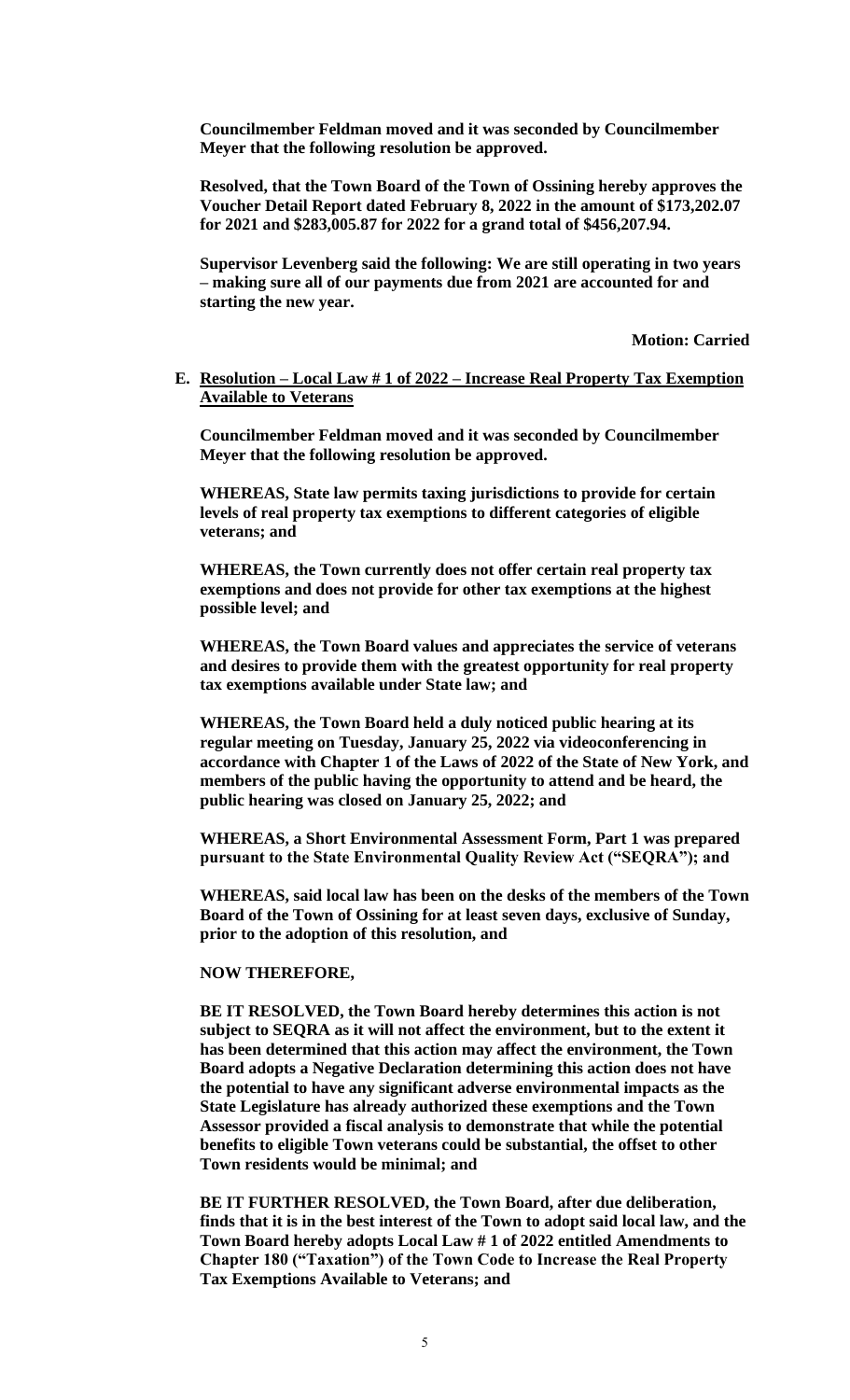**Councilmember Feldman moved and it was seconded by Councilmember Meyer that the following resolution be approved.**

**Resolved, that the Town Board of the Town of Ossining hereby approves the Voucher Detail Report dated February 8, 2022 in the amount of \$173,202.07 for 2021 and \$283,005.87 for 2022 for a grand total of \$456,207.94.**

**Supervisor Levenberg said the following: We are still operating in two years – making sure all of our payments due from 2021 are accounted for and starting the new year.**

**Motion: Carried**

### **E. Resolution – Local Law # 1 of 2022 – Increase Real Property Tax Exemption Available to Veterans**

**Councilmember Feldman moved and it was seconded by Councilmember Meyer that the following resolution be approved.**

**WHEREAS, State law permits taxing jurisdictions to provide for certain levels of real property tax exemptions to different categories of eligible veterans; and**

**WHEREAS, the Town currently does not offer certain real property tax exemptions and does not provide for other tax exemptions at the highest possible level; and**

**WHEREAS, the Town Board values and appreciates the service of veterans and desires to provide them with the greatest opportunity for real property tax exemptions available under State law; and**

**WHEREAS, the Town Board held a duly noticed public hearing at its regular meeting on Tuesday, January 25, 2022 via videoconferencing in accordance with Chapter 1 of the Laws of 2022 of the State of New York, and members of the public having the opportunity to attend and be heard, the public hearing was closed on January 25, 2022; and**

**WHEREAS, a Short Environmental Assessment Form, Part 1 was prepared pursuant to the State Environmental Quality Review Act ("SEQRA"); and**

**WHEREAS, said local law has been on the desks of the members of the Town Board of the Town of Ossining for at least seven days, exclusive of Sunday, prior to the adoption of this resolution, and**

#### **NOW THEREFORE,**

**BE IT RESOLVED, the Town Board hereby determines this action is not subject to SEQRA as it will not affect the environment, but to the extent it has been determined that this action may affect the environment, the Town Board adopts a Negative Declaration determining this action does not have the potential to have any significant adverse environmental impacts as the State Legislature has already authorized these exemptions and the Town Assessor provided a fiscal analysis to demonstrate that while the potential benefits to eligible Town veterans could be substantial, the offset to other Town residents would be minimal; and**

**BE IT FURTHER RESOLVED, the Town Board, after due deliberation, finds that it is in the best interest of the Town to adopt said local law, and the Town Board hereby adopts Local Law # 1 of 2022 entitled Amendments to Chapter 180 ("Taxation") of the Town Code to Increase the Real Property Tax Exemptions Available to Veterans; and**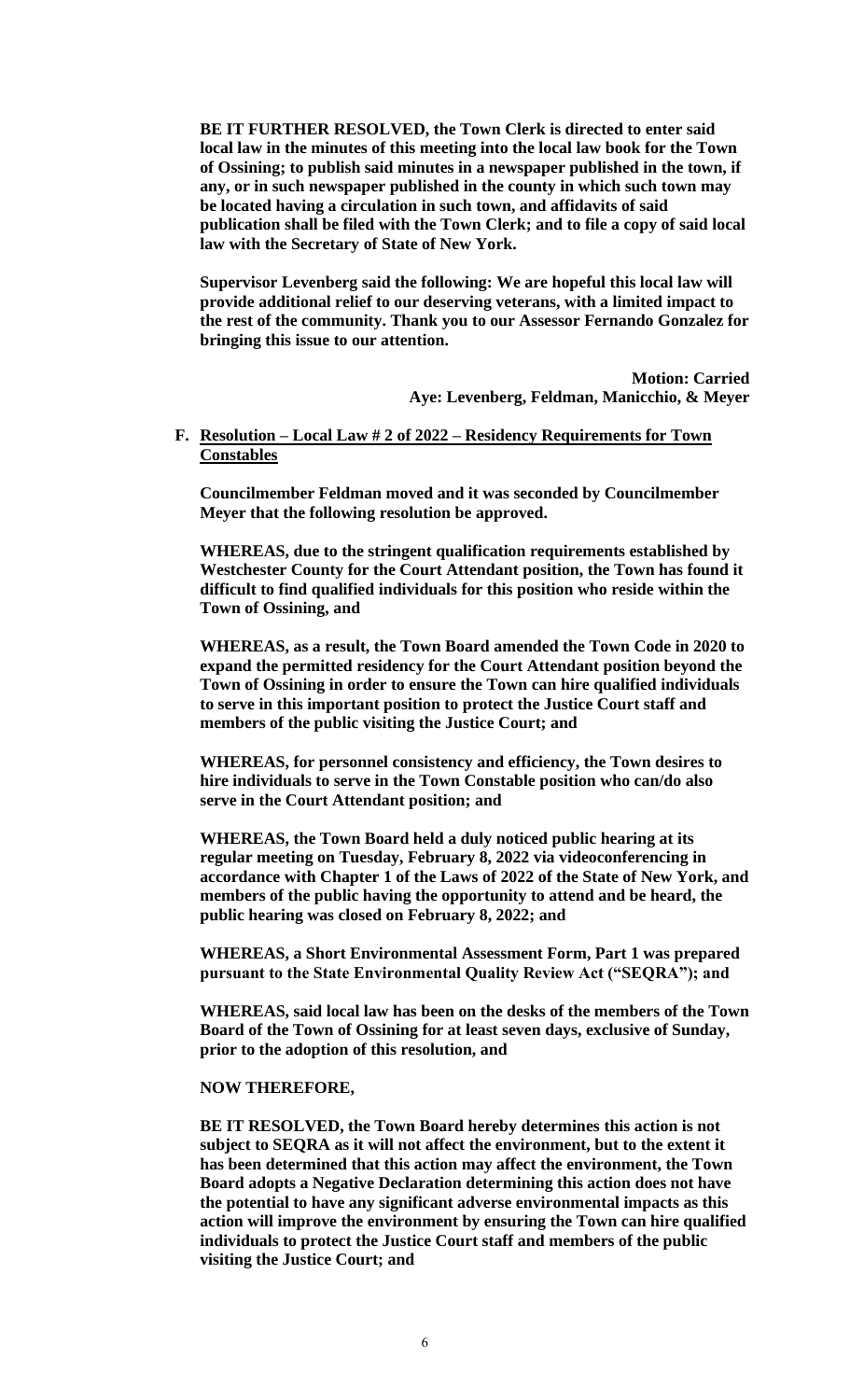**BE IT FURTHER RESOLVED, the Town Clerk is directed to enter said local law in the minutes of this meeting into the local law book for the Town of Ossining; to publish said minutes in a newspaper published in the town, if any, or in such newspaper published in the county in which such town may be located having a circulation in such town, and affidavits of said publication shall be filed with the Town Clerk; and to file a copy of said local law with the Secretary of State of New York.**

**Supervisor Levenberg said the following: We are hopeful this local law will provide additional relief to our deserving veterans, with a limited impact to the rest of the community. Thank you to our Assessor Fernando Gonzalez for bringing this issue to our attention.**

> **Motion: Carried Aye: Levenberg, Feldman, Manicchio, & Meyer**

**F. Resolution – Local Law # 2 of 2022 – Residency Requirements for Town Constables**

**Councilmember Feldman moved and it was seconded by Councilmember Meyer that the following resolution be approved.**

**WHEREAS, due to the stringent qualification requirements established by Westchester County for the Court Attendant position, the Town has found it difficult to find qualified individuals for this position who reside within the Town of Ossining, and**

**WHEREAS, as a result, the Town Board amended the Town Code in 2020 to expand the permitted residency for the Court Attendant position beyond the Town of Ossining in order to ensure the Town can hire qualified individuals to serve in this important position to protect the Justice Court staff and members of the public visiting the Justice Court; and**

**WHEREAS, for personnel consistency and efficiency, the Town desires to hire individuals to serve in the Town Constable position who can/do also serve in the Court Attendant position; and**

**WHEREAS, the Town Board held a duly noticed public hearing at its regular meeting on Tuesday, February 8, 2022 via videoconferencing in accordance with Chapter 1 of the Laws of 2022 of the State of New York, and members of the public having the opportunity to attend and be heard, the public hearing was closed on February 8, 2022; and**

**WHEREAS, a Short Environmental Assessment Form, Part 1 was prepared pursuant to the State Environmental Quality Review Act ("SEQRA"); and**

**WHEREAS, said local law has been on the desks of the members of the Town Board of the Town of Ossining for at least seven days, exclusive of Sunday, prior to the adoption of this resolution, and**

#### **NOW THEREFORE,**

**BE IT RESOLVED, the Town Board hereby determines this action is not subject to SEQRA as it will not affect the environment, but to the extent it has been determined that this action may affect the environment, the Town Board adopts a Negative Declaration determining this action does not have the potential to have any significant adverse environmental impacts as this action will improve the environment by ensuring the Town can hire qualified individuals to protect the Justice Court staff and members of the public visiting the Justice Court; and**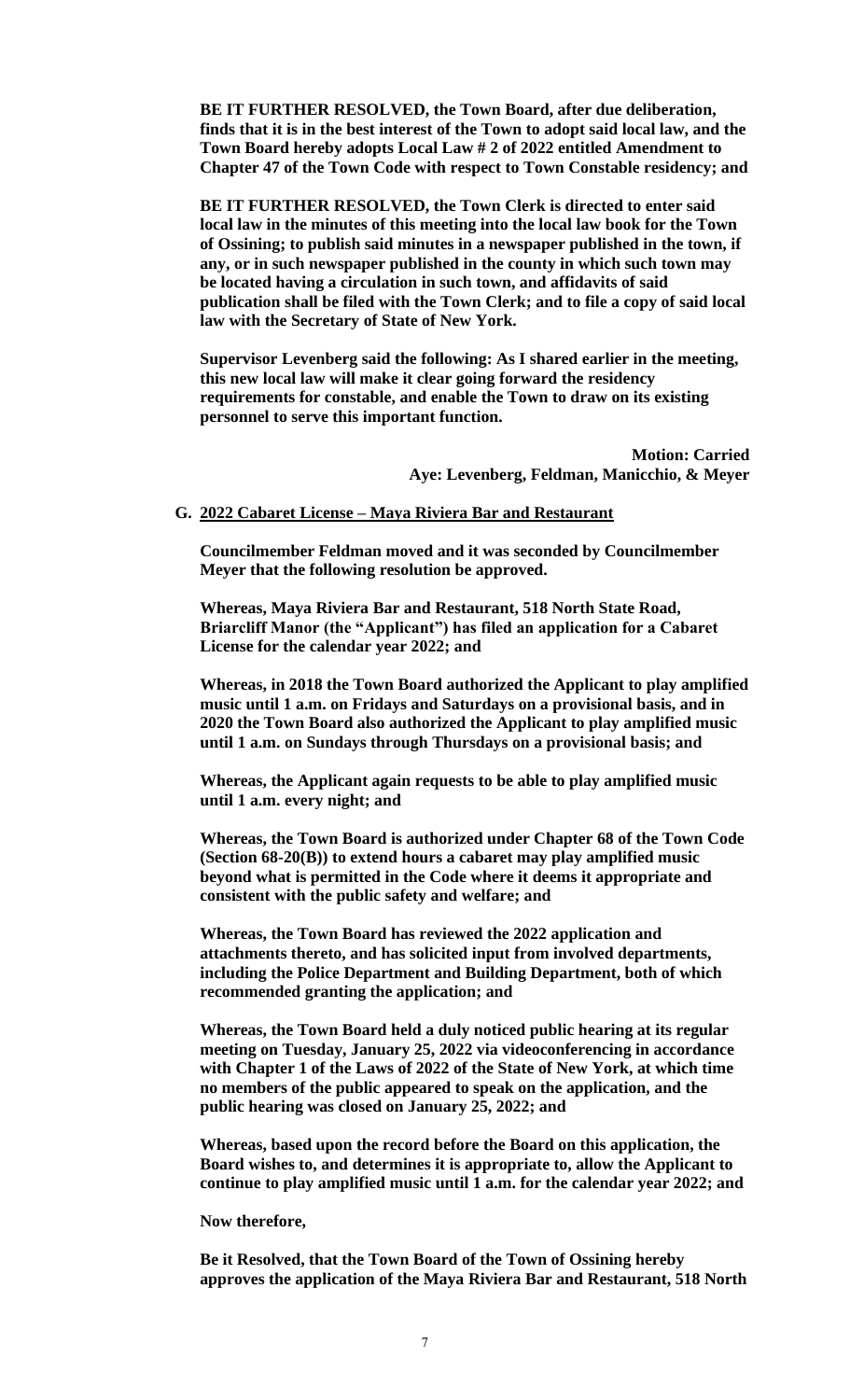**BE IT FURTHER RESOLVED, the Town Board, after due deliberation, finds that it is in the best interest of the Town to adopt said local law, and the Town Board hereby adopts Local Law # 2 of 2022 entitled Amendment to Chapter 47 of the Town Code with respect to Town Constable residency; and** 

**BE IT FURTHER RESOLVED, the Town Clerk is directed to enter said local law in the minutes of this meeting into the local law book for the Town of Ossining; to publish said minutes in a newspaper published in the town, if any, or in such newspaper published in the county in which such town may be located having a circulation in such town, and affidavits of said publication shall be filed with the Town Clerk; and to file a copy of said local law with the Secretary of State of New York.**

**Supervisor Levenberg said the following: As I shared earlier in the meeting, this new local law will make it clear going forward the residency requirements for constable, and enable the Town to draw on its existing personnel to serve this important function.**

> **Motion: Carried Aye: Levenberg, Feldman, Manicchio, & Meyer**

#### **G. 2022 Cabaret License – Maya Riviera Bar and Restaurant**

**Councilmember Feldman moved and it was seconded by Councilmember Meyer that the following resolution be approved.**

**Whereas, Maya Riviera Bar and Restaurant, 518 North State Road, Briarcliff Manor (the "Applicant") has filed an application for a Cabaret License for the calendar year 2022; and**

**Whereas, in 2018 the Town Board authorized the Applicant to play amplified music until 1 a.m. on Fridays and Saturdays on a provisional basis, and in 2020 the Town Board also authorized the Applicant to play amplified music until 1 a.m. on Sundays through Thursdays on a provisional basis; and**

**Whereas, the Applicant again requests to be able to play amplified music until 1 a.m. every night; and**

**Whereas, the Town Board is authorized under Chapter 68 of the Town Code (Section 68-20(B)) to extend hours a cabaret may play amplified music beyond what is permitted in the Code where it deems it appropriate and consistent with the public safety and welfare; and**

**Whereas, the Town Board has reviewed the 2022 application and attachments thereto, and has solicited input from involved departments, including the Police Department and Building Department, both of which recommended granting the application; and**

**Whereas, the Town Board held a duly noticed public hearing at its regular meeting on Tuesday, January 25, 2022 via videoconferencing in accordance with Chapter 1 of the Laws of 2022 of the State of New York, at which time no members of the public appeared to speak on the application, and the public hearing was closed on January 25, 2022; and**

**Whereas, based upon the record before the Board on this application, the Board wishes to, and determines it is appropriate to, allow the Applicant to continue to play amplified music until 1 a.m. for the calendar year 2022; and**

**Now therefore,** 

**Be it Resolved, that the Town Board of the Town of Ossining hereby approves the application of the Maya Riviera Bar and Restaurant, 518 North**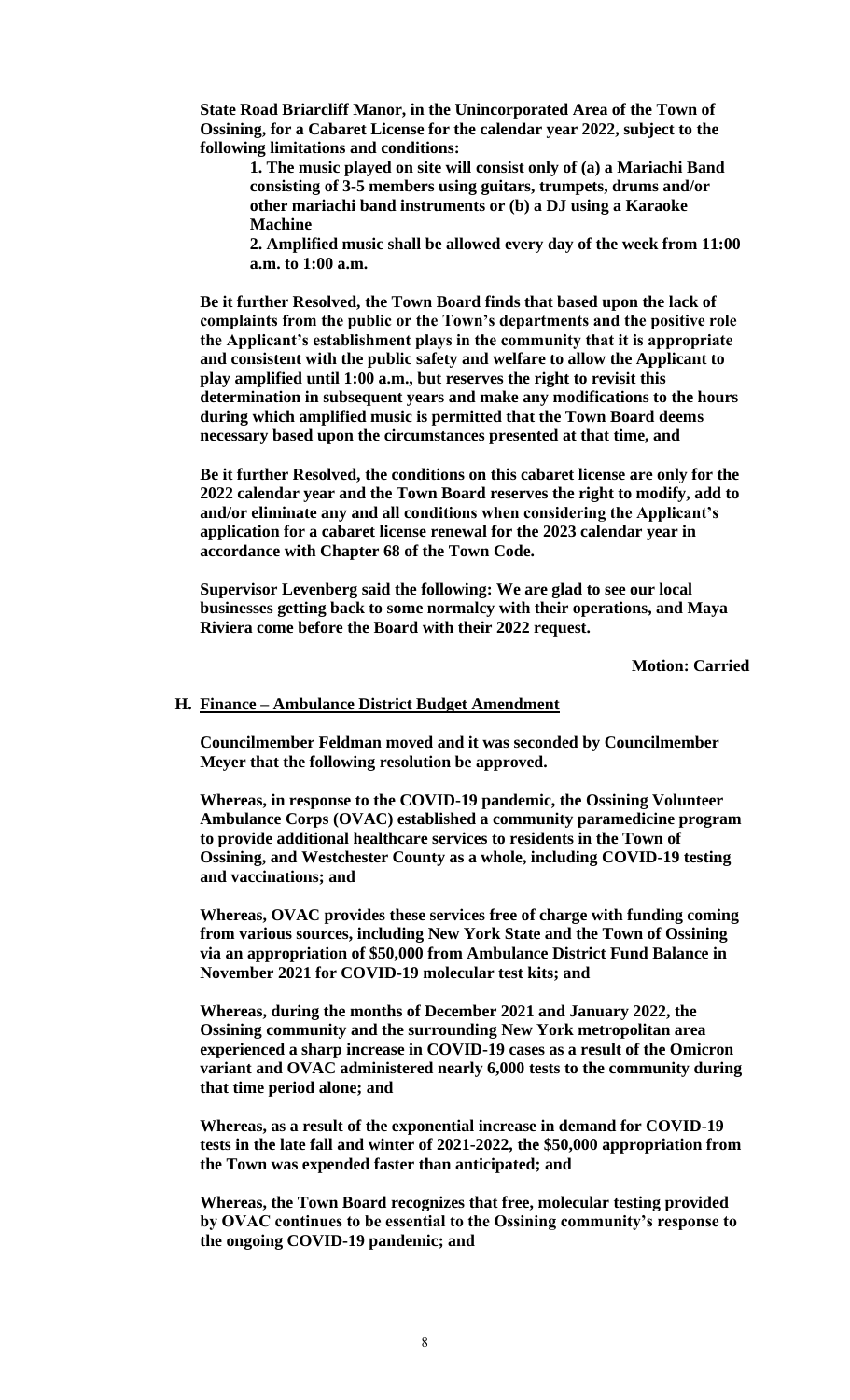**State Road Briarcliff Manor, in the Unincorporated Area of the Town of Ossining, for a Cabaret License for the calendar year 2022, subject to the following limitations and conditions:** 

**1. The music played on site will consist only of (a) a Mariachi Band consisting of 3-5 members using guitars, trumpets, drums and/or other mariachi band instruments or (b) a DJ using a Karaoke Machine** 

**2. Amplified music shall be allowed every day of the week from 11:00 a.m. to 1:00 a.m.**

**Be it further Resolved, the Town Board finds that based upon the lack of complaints from the public or the Town's departments and the positive role the Applicant's establishment plays in the community that it is appropriate and consistent with the public safety and welfare to allow the Applicant to play amplified until 1:00 a.m., but reserves the right to revisit this determination in subsequent years and make any modifications to the hours during which amplified music is permitted that the Town Board deems necessary based upon the circumstances presented at that time, and**

**Be it further Resolved, the conditions on this cabaret license are only for the 2022 calendar year and the Town Board reserves the right to modify, add to and/or eliminate any and all conditions when considering the Applicant's application for a cabaret license renewal for the 2023 calendar year in accordance with Chapter 68 of the Town Code.**

**Supervisor Levenberg said the following: We are glad to see our local businesses getting back to some normalcy with their operations, and Maya Riviera come before the Board with their 2022 request.**

**Motion: Carried**

#### **H. Finance – Ambulance District Budget Amendment**

**Councilmember Feldman moved and it was seconded by Councilmember Meyer that the following resolution be approved.**

**Whereas, in response to the COVID-19 pandemic, the Ossining Volunteer Ambulance Corps (OVAC) established a community paramedicine program to provide additional healthcare services to residents in the Town of Ossining, and Westchester County as a whole, including COVID-19 testing and vaccinations; and**

**Whereas, OVAC provides these services free of charge with funding coming from various sources, including New York State and the Town of Ossining via an appropriation of \$50,000 from Ambulance District Fund Balance in November 2021 for COVID-19 molecular test kits; and** 

**Whereas, during the months of December 2021 and January 2022, the Ossining community and the surrounding New York metropolitan area experienced a sharp increase in COVID-19 cases as a result of the Omicron variant and OVAC administered nearly 6,000 tests to the community during that time period alone; and** 

**Whereas, as a result of the exponential increase in demand for COVID-19 tests in the late fall and winter of 2021-2022, the \$50,000 appropriation from the Town was expended faster than anticipated; and**

**Whereas, the Town Board recognizes that free, molecular testing provided by OVAC continues to be essential to the Ossining community's response to the ongoing COVID-19 pandemic; and**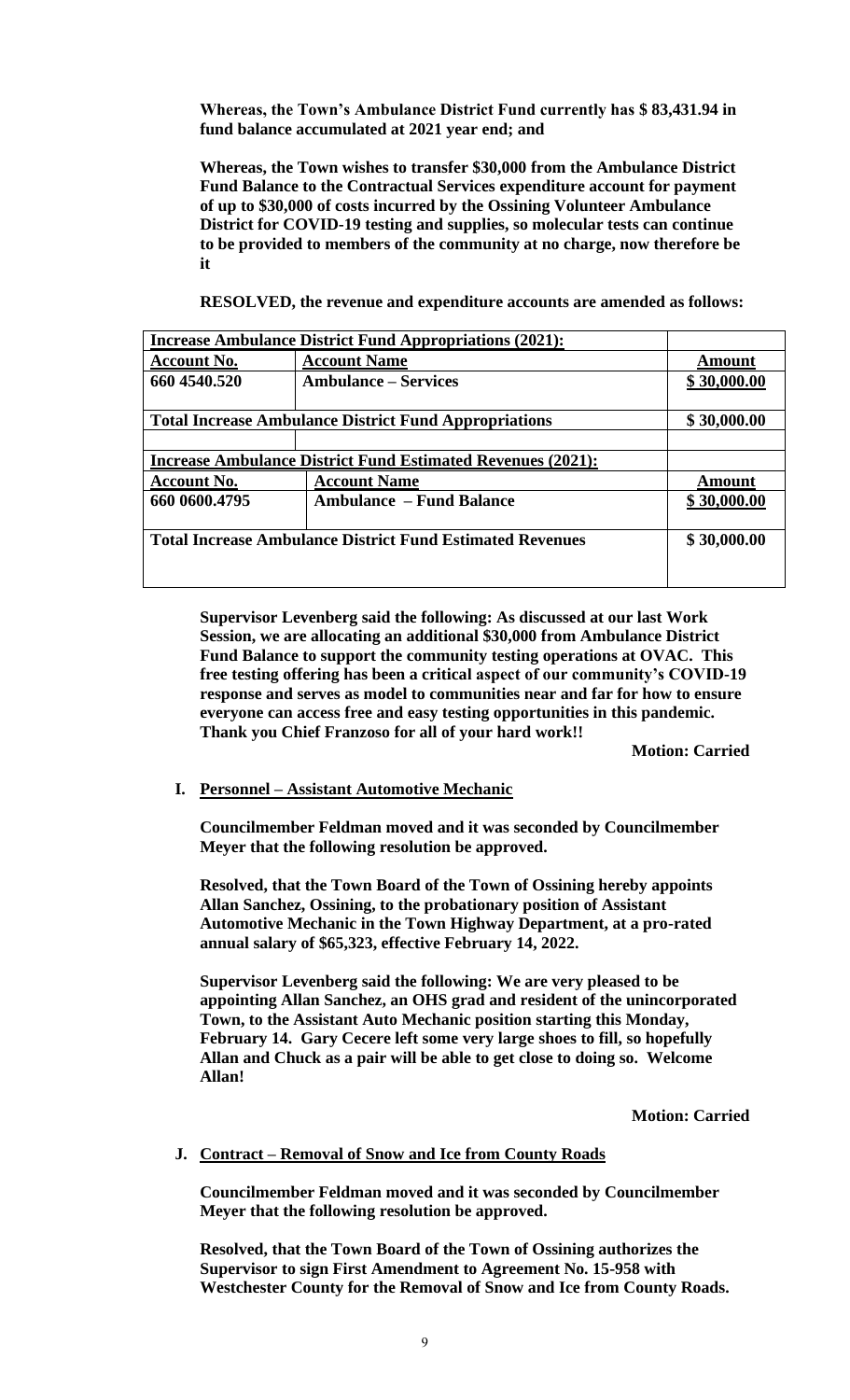**Whereas, the Town's Ambulance District Fund currently has \$ 83,431.94 in fund balance accumulated at 2021 year end; and**

**Whereas, the Town wishes to transfer \$30,000 from the Ambulance District Fund Balance to the Contractual Services expenditure account for payment of up to \$30,000 of costs incurred by the Ossining Volunteer Ambulance District for COVID-19 testing and supplies, so molecular tests can continue to be provided to members of the community at no charge, now therefore be it**

**RESOLVED, the revenue and expenditure accounts are amended as follows:**

| <b>Increase Ambulance District Fund Appropriations (2021):</b>     |                                 |               |  |
|--------------------------------------------------------------------|---------------------------------|---------------|--|
| <b>Account No.</b>                                                 | <b>Account Name</b>             | <b>Amount</b> |  |
| 660 4540.520                                                       | <b>Ambulance – Services</b>     | \$30,000.00   |  |
|                                                                    |                                 |               |  |
| <b>Total Increase Ambulance District Fund Appropriations</b>       |                                 | \$30,000.00   |  |
|                                                                    |                                 |               |  |
| <b>Increase Ambulance District Fund Estimated Revenues (2021):</b> |                                 |               |  |
| <b>Account No.</b>                                                 | <b>Account Name</b>             | <b>Amount</b> |  |
| 660 0600.4795                                                      | <b>Ambulance – Fund Balance</b> | \$30,000.00   |  |
|                                                                    |                                 |               |  |
| <b>Total Increase Ambulance District Fund Estimated Revenues</b>   |                                 | \$30,000.00   |  |
|                                                                    |                                 |               |  |
|                                                                    |                                 |               |  |

**Supervisor Levenberg said the following: As discussed at our last Work Session, we are allocating an additional \$30,000 from Ambulance District Fund Balance to support the community testing operations at OVAC. This free testing offering has been a critical aspect of our community's COVID-19 response and serves as model to communities near and far for how to ensure everyone can access free and easy testing opportunities in this pandemic. Thank you Chief Franzoso for all of your hard work!!**

**Motion: Carried**

#### **I. Personnel – Assistant Automotive Mechanic**

**Councilmember Feldman moved and it was seconded by Councilmember Meyer that the following resolution be approved.**

**Resolved, that the Town Board of the Town of Ossining hereby appoints Allan Sanchez, Ossining, to the probationary position of Assistant Automotive Mechanic in the Town Highway Department, at a pro-rated annual salary of \$65,323, effective February 14, 2022.** 

**Supervisor Levenberg said the following: We are very pleased to be appointing Allan Sanchez, an OHS grad and resident of the unincorporated Town, to the Assistant Auto Mechanic position starting this Monday, February 14. Gary Cecere left some very large shoes to fill, so hopefully Allan and Chuck as a pair will be able to get close to doing so. Welcome Allan!**

**Motion: Carried**

# **J. Contract – Removal of Snow and Ice from County Roads**

**Councilmember Feldman moved and it was seconded by Councilmember Meyer that the following resolution be approved.**

**Resolved, that the Town Board of the Town of Ossining authorizes the Supervisor to sign First Amendment to Agreement No. 15-958 with Westchester County for the Removal of Snow and Ice from County Roads.**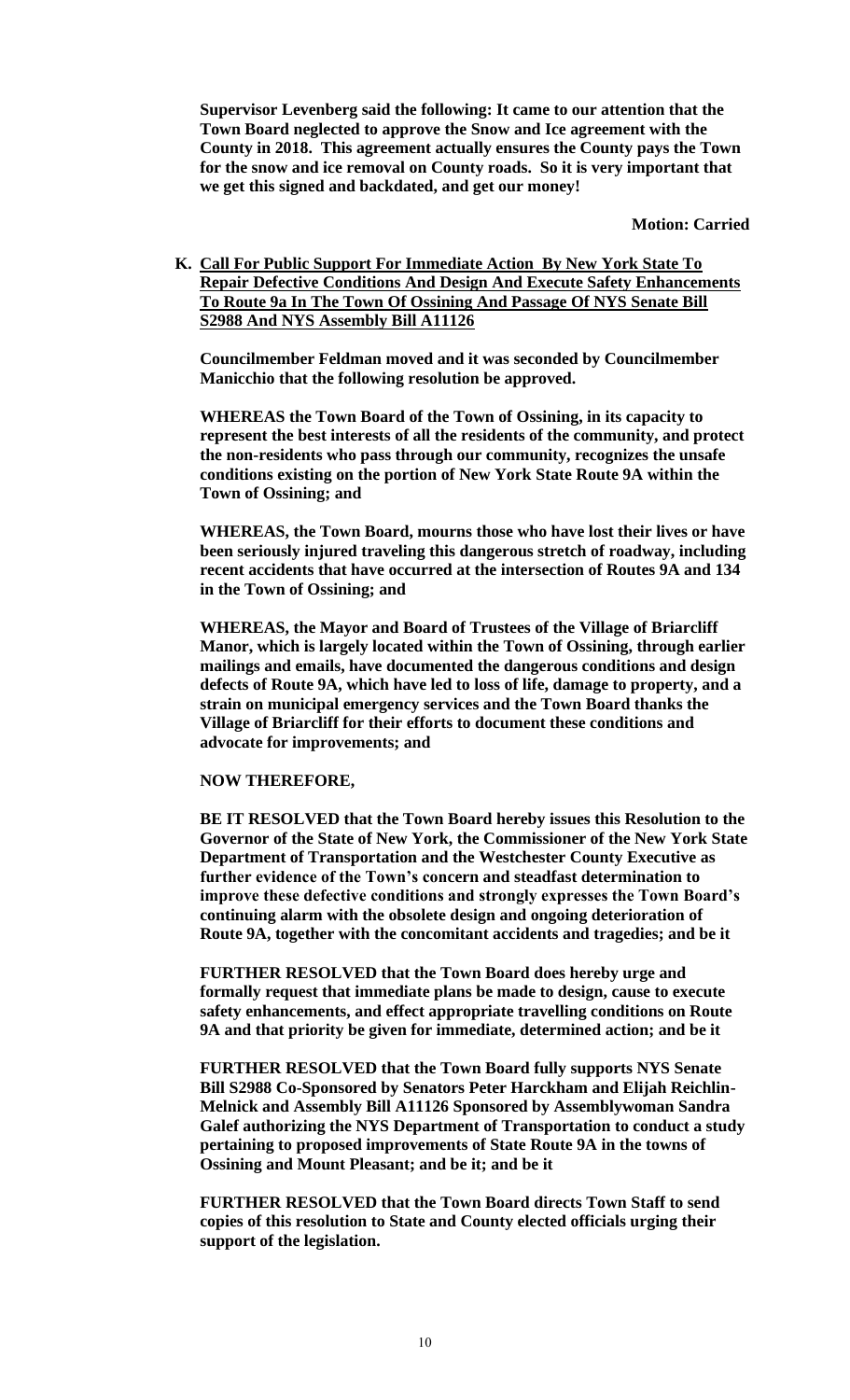**Supervisor Levenberg said the following: It came to our attention that the Town Board neglected to approve the Snow and Ice agreement with the County in 2018. This agreement actually ensures the County pays the Town for the snow and ice removal on County roads. So it is very important that we get this signed and backdated, and get our money!**

**Motion: Carried**

**K. Call For Public Support For Immediate Action By New York State To Repair Defective Conditions And Design And Execute Safety Enhancements To Route 9a In The Town Of Ossining And Passage Of NYS Senate Bill S2988 And NYS Assembly Bill A11126**

**Councilmember Feldman moved and it was seconded by Councilmember Manicchio that the following resolution be approved.**

**WHEREAS the Town Board of the Town of Ossining, in its capacity to represent the best interests of all the residents of the community, and protect the non-residents who pass through our community, recognizes the unsafe conditions existing on the portion of New York State Route 9A within the Town of Ossining; and**

**WHEREAS, the Town Board, mourns those who have lost their lives or have been seriously injured traveling this dangerous stretch of roadway, including recent accidents that have occurred at the intersection of Routes 9A and 134 in the Town of Ossining; and**

**WHEREAS, the Mayor and Board of Trustees of the Village of Briarcliff Manor, which is largely located within the Town of Ossining, through earlier mailings and emails, have documented the dangerous conditions and design defects of Route 9A, which have led to loss of life, damage to property, and a strain on municipal emergency services and the Town Board thanks the Village of Briarcliff for their efforts to document these conditions and advocate for improvements; and**

#### **NOW THEREFORE,**

**BE IT RESOLVED that the Town Board hereby issues this Resolution to the Governor of the State of New York, the Commissioner of the New York State Department of Transportation and the Westchester County Executive as further evidence of the Town's concern and steadfast determination to improve these defective conditions and strongly expresses the Town Board's continuing alarm with the obsolete design and ongoing deterioration of Route 9A, together with the concomitant accidents and tragedies; and be it**

**FURTHER RESOLVED that the Town Board does hereby urge and formally request that immediate plans be made to design, cause to execute safety enhancements, and effect appropriate travelling conditions on Route 9A and that priority be given for immediate, determined action; and be it**

**FURTHER RESOLVED that the Town Board fully supports NYS Senate Bill S2988 Co-Sponsored by Senators Peter Harckham and Elijah Reichlin-Melnick and Assembly Bill A11126 Sponsored by Assemblywoman Sandra Galef authorizing the NYS Department of Transportation to conduct a study pertaining to proposed improvements of State Route 9A in the towns of Ossining and Mount Pleasant; and be it; and be it** 

**FURTHER RESOLVED that the Town Board directs Town Staff to send copies of this resolution to State and County elected officials urging their support of the legislation.**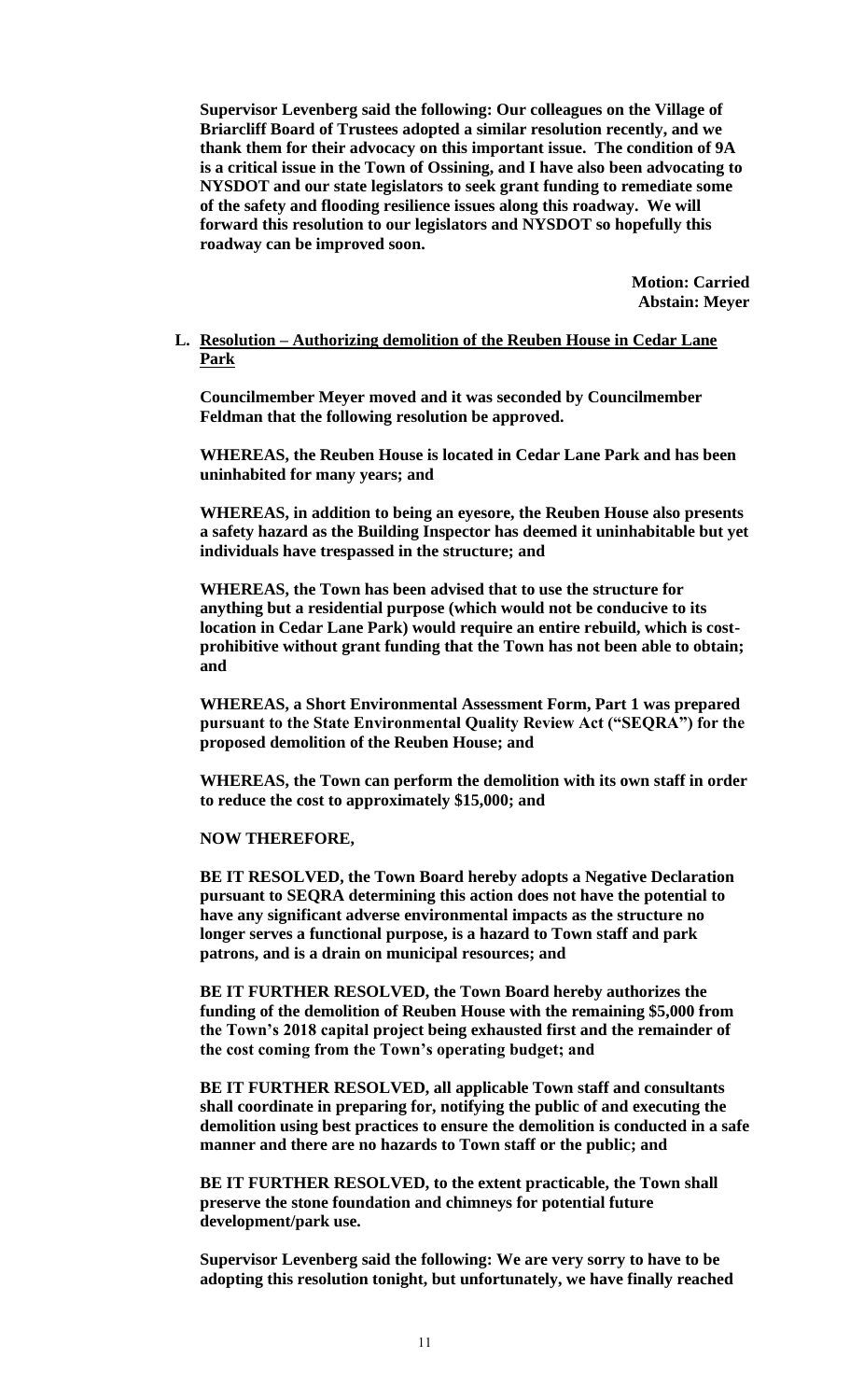**Supervisor Levenberg said the following: Our colleagues on the Village of Briarcliff Board of Trustees adopted a similar resolution recently, and we thank them for their advocacy on this important issue. The condition of 9A is a critical issue in the Town of Ossining, and I have also been advocating to NYSDOT and our state legislators to seek grant funding to remediate some of the safety and flooding resilience issues along this roadway. We will forward this resolution to our legislators and NYSDOT so hopefully this roadway can be improved soon.**

> **Motion: Carried Abstain: Meyer**

# **L. Resolution – Authorizing demolition of the Reuben House in Cedar Lane Park**

**Councilmember Meyer moved and it was seconded by Councilmember Feldman that the following resolution be approved.**

**WHEREAS, the Reuben House is located in Cedar Lane Park and has been uninhabited for many years; and**

**WHEREAS, in addition to being an eyesore, the Reuben House also presents a safety hazard as the Building Inspector has deemed it uninhabitable but yet individuals have trespassed in the structure; and**

**WHEREAS, the Town has been advised that to use the structure for anything but a residential purpose (which would not be conducive to its location in Cedar Lane Park) would require an entire rebuild, which is costprohibitive without grant funding that the Town has not been able to obtain; and** 

**WHEREAS, a Short Environmental Assessment Form, Part 1 was prepared pursuant to the State Environmental Quality Review Act ("SEQRA") for the proposed demolition of the Reuben House; and**

**WHEREAS, the Town can perform the demolition with its own staff in order to reduce the cost to approximately \$15,000; and**

**NOW THEREFORE,**

**BE IT RESOLVED, the Town Board hereby adopts a Negative Declaration pursuant to SEQRA determining this action does not have the potential to have any significant adverse environmental impacts as the structure no longer serves a functional purpose, is a hazard to Town staff and park patrons, and is a drain on municipal resources; and**

**BE IT FURTHER RESOLVED, the Town Board hereby authorizes the funding of the demolition of Reuben House with the remaining \$5,000 from the Town's 2018 capital project being exhausted first and the remainder of the cost coming from the Town's operating budget; and**

**BE IT FURTHER RESOLVED, all applicable Town staff and consultants shall coordinate in preparing for, notifying the public of and executing the demolition using best practices to ensure the demolition is conducted in a safe manner and there are no hazards to Town staff or the public; and**

**BE IT FURTHER RESOLVED, to the extent practicable, the Town shall preserve the stone foundation and chimneys for potential future development/park use.**

**Supervisor Levenberg said the following: We are very sorry to have to be adopting this resolution tonight, but unfortunately, we have finally reached**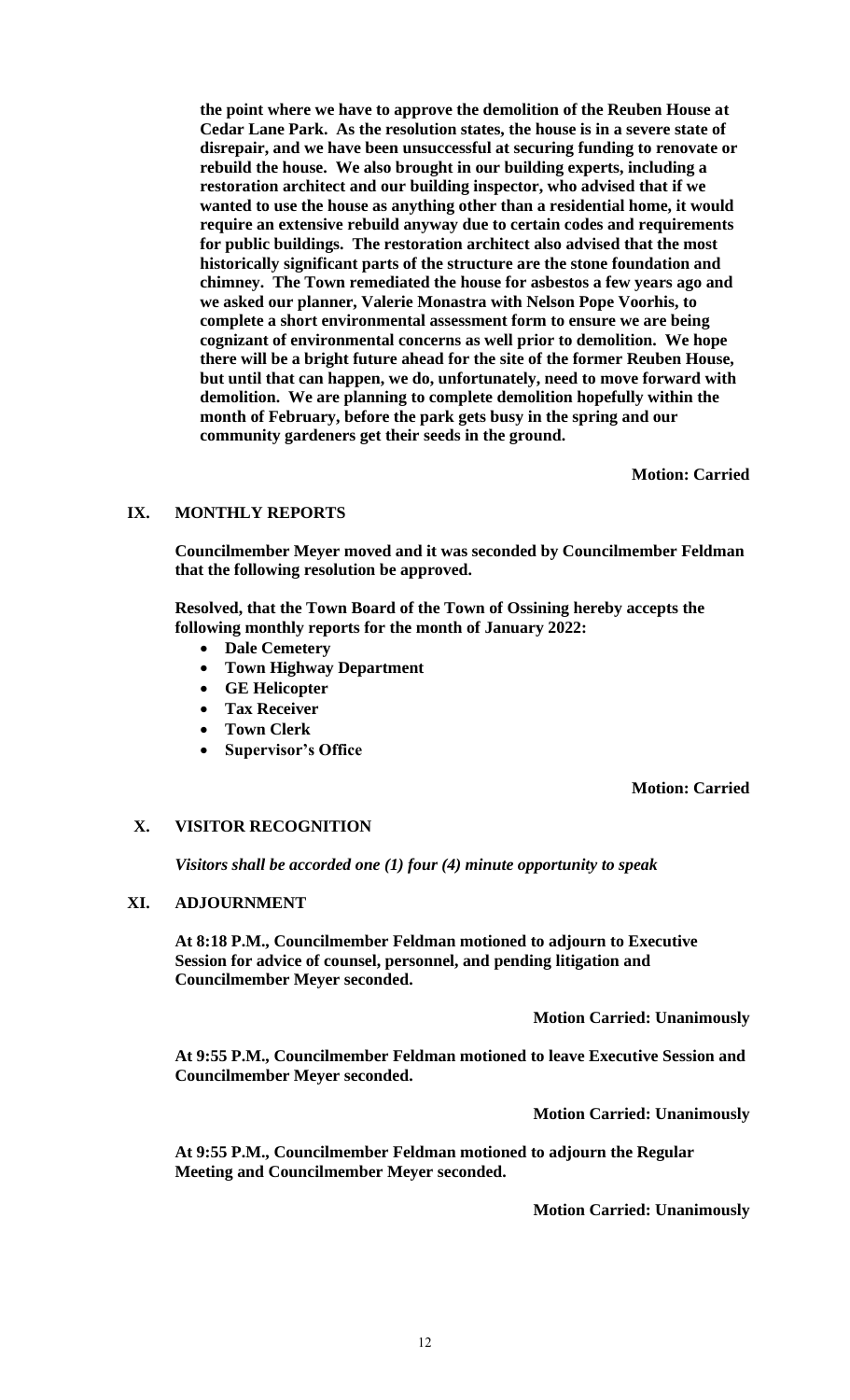**the point where we have to approve the demolition of the Reuben House at Cedar Lane Park. As the resolution states, the house is in a severe state of disrepair, and we have been unsuccessful at securing funding to renovate or rebuild the house. We also brought in our building experts, including a restoration architect and our building inspector, who advised that if we wanted to use the house as anything other than a residential home, it would require an extensive rebuild anyway due to certain codes and requirements for public buildings. The restoration architect also advised that the most historically significant parts of the structure are the stone foundation and chimney. The Town remediated the house for asbestos a few years ago and we asked our planner, Valerie Monastra with Nelson Pope Voorhis, to complete a short environmental assessment form to ensure we are being cognizant of environmental concerns as well prior to demolition. We hope there will be a bright future ahead for the site of the former Reuben House, but until that can happen, we do, unfortunately, need to move forward with demolition. We are planning to complete demolition hopefully within the month of February, before the park gets busy in the spring and our community gardeners get their seeds in the ground.**

**Motion: Carried**

# **IX. MONTHLY REPORTS**

**Councilmember Meyer moved and it was seconded by Councilmember Feldman that the following resolution be approved.**

**Resolved, that the Town Board of the Town of Ossining hereby accepts the following monthly reports for the month of January 2022:**

- **Dale Cemetery**
- **Town Highway Department**
- **GE Helicopter**
- **Tax Receiver**
- **Town Clerk**
- **Supervisor's Office**

**Motion: Carried**

# **X. VISITOR RECOGNITION**

*Visitors shall be accorded one (1) four (4) minute opportunity to speak*

# **XI. ADJOURNMENT**

**At 8:18 P.M., Councilmember Feldman motioned to adjourn to Executive Session for advice of counsel, personnel, and pending litigation and Councilmember Meyer seconded.** 

**Motion Carried: Unanimously**

**At 9:55 P.M., Councilmember Feldman motioned to leave Executive Session and Councilmember Meyer seconded.**

**Motion Carried: Unanimously**

**At 9:55 P.M., Councilmember Feldman motioned to adjourn the Regular Meeting and Councilmember Meyer seconded.** 

**Motion Carried: Unanimously**